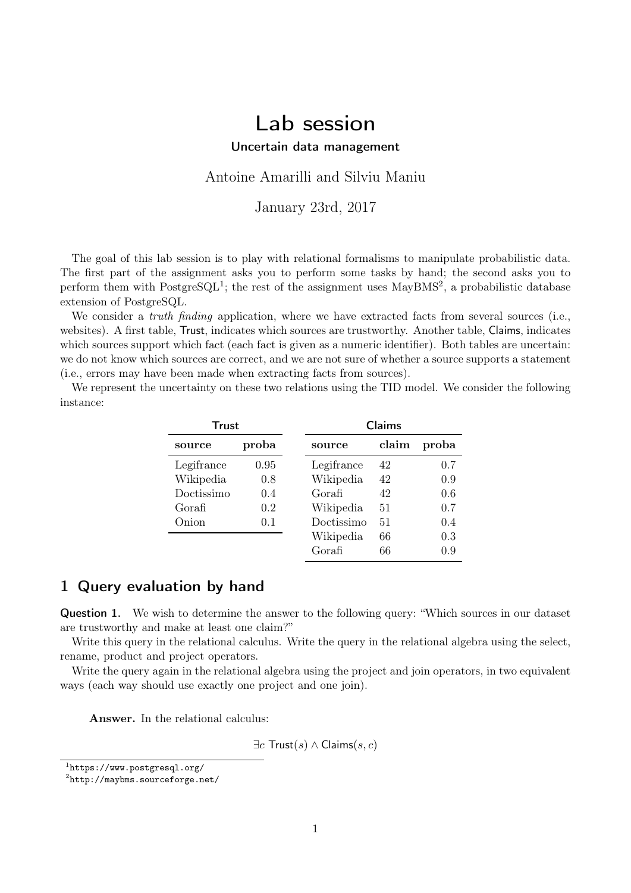# Lab session

Uncertain data management

Antoine Amarilli and Silviu Maniu

January 23rd, 2017

The goal of this lab session is to play with relational formalisms to manipulate probabilistic data. The first part of the assignment asks you to perform some tasks by hand; the second asks you to perform them with  $\text{PostgresQL}^1$  $\text{PostgresQL}^1$ ; the rest of the assignment uses  $\text{MayBMS}^2$  $\text{MayBMS}^2$ , a probabilistic database extension of PostgreSQL.

We consider a *truth finding* application, where we have extracted facts from several sources (i.e., websites). A first table, Trust, indicates which sources are trustworthy. Another table, Claims, indicates which sources support which fact (each fact is given as a numeric identifier). Both tables are uncertain: we do not know which sources are correct, and we are not sure of whether a source supports a statement (i.e., errors may have been made when extracting facts from sources).

We represent the uncertainty on these two relations using the TID model. We consider the following instance:

| Trust      |       |            | Claims |       |
|------------|-------|------------|--------|-------|
| source     | proba | source     | claim  | proba |
| Legifrance | 0.95  | Legifrance | 42     | 0.7   |
| Wikipedia  | 0.8   | Wikipedia  | 42     | 0.9   |
| Doctissimo | 0.4   | Gorafi     | 42     | 0.6   |
| Gorafi     | 0.2   | Wikipedia  | 51     | 0.7   |
| Onion      | 0.1   | Doctissimo | 51     | 0.4   |
|            |       | Wikipedia  | 66     | 0.3   |
|            |       | Gorafi     | 66     | 0.9   |

### 1 Query evaluation by hand

Question 1. We wish to determine the answer to the following query: "Which sources in our dataset are trustworthy and make at least one claim?"

Write this query in the relational calculus. Write the query in the relational algebra using the select, rename, product and project operators.

Write the query again in the relational algebra using the project and join operators, in two equivalent ways (each way should use exactly one project and one join).

Answer. In the relational calculus:

 $\exists c$  Trust(s)  $\land$  Claims(s, c)

<span id="page-0-0"></span><sup>1</sup> <https://www.postgresql.org/>

<span id="page-0-1"></span> $^{2}$ <http://maybms.sourceforge.net/>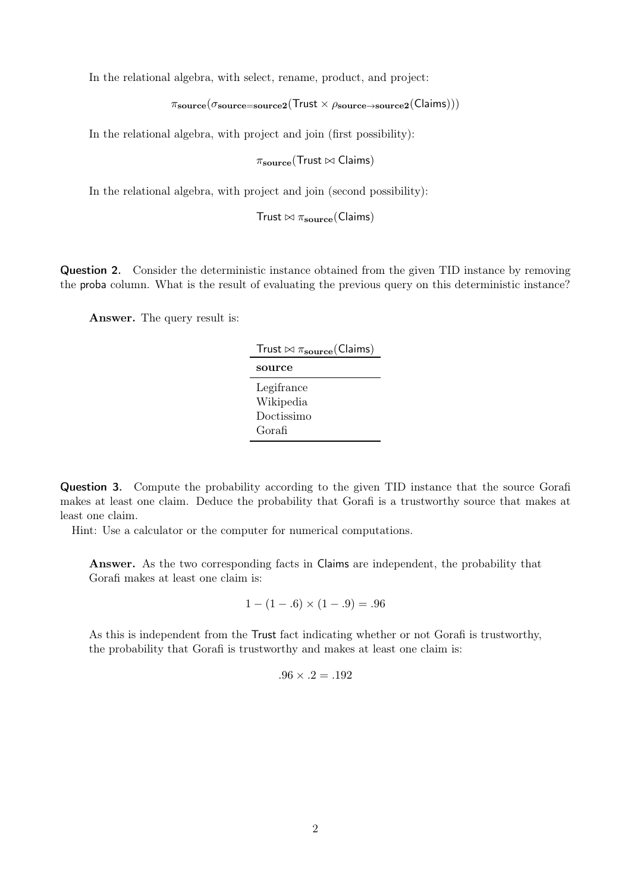In the relational algebra, with select, rename, product, and project:

 $\pi_{\text{source}}(\sigma_{\text{source=source2}}(T_{\text{rust}} \times \rho_{\text{source}\rightarrow\text{source2}}(C_{\text{lains}})))$ 

In the relational algebra, with project and join (first possibility):

 $\pi_{\rm source}$ (Trust  $\bowtie$  Claims)

In the relational algebra, with project and join (second possibility):

Trust  $\bowtie \pi_{\text{source}}(\text{Clains})$ 

**Question 2.** Consider the deterministic instance obtained from the given TID instance by removing the proba column. What is the result of evaluating the previous query on this deterministic instance?

Answer. The query result is:

| Trust $\bowtie \pi_{\text{source}}(\text{Clains})$ |
|----------------------------------------------------|
| source                                             |
| Legifrance                                         |
| Wikipedia                                          |
| Doctissimo                                         |
| Gorafi                                             |

Question 3. Compute the probability according to the given TID instance that the source Gorafi makes at least one claim. Deduce the probability that Gorafi is a trustworthy source that makes at least one claim.

Hint: Use a calculator or the computer for numerical computations.

Answer. As the two corresponding facts in Claims are independent, the probability that Gorafi makes at least one claim is:

$$
1 - (1 - .6) \times (1 - .9) = .96
$$

As this is independent from the Trust fact indicating whether or not Gorafi is trustworthy, the probability that Gorafi is trustworthy and makes at least one claim is:

$$
.96 \times .2 = .192
$$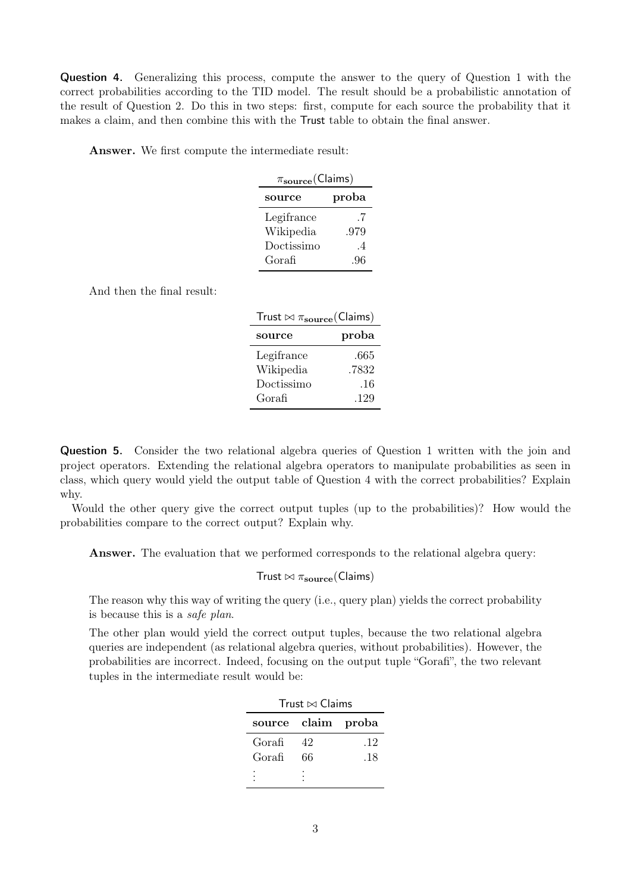Question 4. Generalizing this process, compute the answer to the query of Question 1 with the correct probabilities according to the TID model. The result should be a probabilistic annotation of the result of Question 2. Do this in two steps: first, compute for each source the probability that it makes a claim, and then combine this with the Trust table to obtain the final answer.

Answer. We first compute the intermediate result:

| $\pi_{\rm source}$ (Claims) |                |  |  |  |  |
|-----------------------------|----------------|--|--|--|--|
| source                      | proba          |  |  |  |  |
| Legifrance                  | -7             |  |  |  |  |
| Wikipedia                   | .979           |  |  |  |  |
| Doctissimo                  | $\overline{4}$ |  |  |  |  |
| Gorafi                      | .96            |  |  |  |  |

And then the final result:

| Trust $\bowtie \pi_{\text{source}}(\text{Clains})$ |       |  |  |
|----------------------------------------------------|-------|--|--|
| source                                             | proba |  |  |
| Legifrance                                         | .665  |  |  |
| Wikipedia                                          | .7832 |  |  |
| Doctissimo                                         | .16   |  |  |
| Gorafi                                             | .129  |  |  |

Question 5. Consider the two relational algebra queries of Question 1 written with the join and project operators. Extending the relational algebra operators to manipulate probabilities as seen in class, which query would yield the output table of Question 4 with the correct probabilities? Explain why.

Would the other query give the correct output tuples (up to the probabilities)? How would the probabilities compare to the correct output? Explain why.

Answer. The evaluation that we performed corresponds to the relational algebra query:

Trust  $\bowtie$   $\pi_{source}$ (Claims)

The reason why this way of writing the query (i.e., query plan) yields the correct probability is because this is a safe plan.

The other plan would yield the correct output tuples, because the two relational algebra queries are independent (as relational algebra queries, without probabilities). However, the probabilities are incorrect. Indeed, focusing on the output tuple "Gorafi", the two relevant tuples in the intermediate result would be:

| Trust $\bowtie$ Claims |    |     |  |  |  |
|------------------------|----|-----|--|--|--|
| source claim proba     |    |     |  |  |  |
| Gorafi                 | 42 | .12 |  |  |  |
| Gorafi                 | 66 | .18 |  |  |  |
|                        |    |     |  |  |  |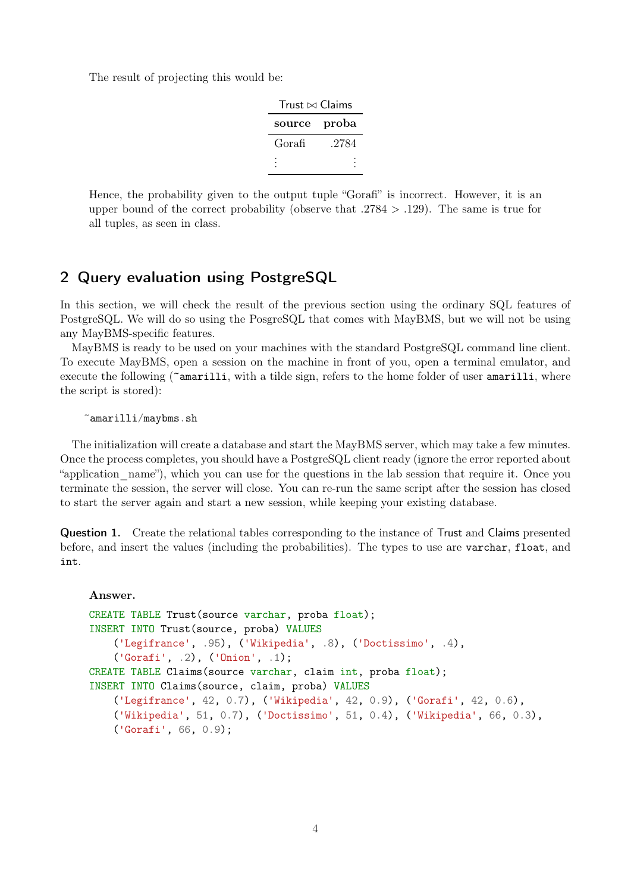The result of projecting this would be:

| Trust $\bowtie$ Claims |       |  |  |  |
|------------------------|-------|--|--|--|
| source                 | proba |  |  |  |
| Gorafi                 | .2784 |  |  |  |
|                        |       |  |  |  |

Hence, the probability given to the output tuple "Gorafi" is incorrect. However, it is an upper bound of the correct probability (observe that  $.2784 > .129$ ). The same is true for all tuples, as seen in class.

# 2 Query evaluation using PostgreSQL

In this section, we will check the result of the previous section using the ordinary SQL features of PostgreSQL. We will do so using the PosgreSQL that comes with MayBMS, but we will not be using any MayBMS-specific features.

MayBMS is ready to be used on your machines with the standard PostgreSQL command line client. To execute MayBMS, open a session on the machine in front of you, open a terminal emulator, and execute the following (~amarilli, with a tilde sign, refers to the home folder of user amarilli, where the script is stored):

~amarilli/maybms.sh

The initialization will create a database and start the MayBMS server, which may take a few minutes. Once the process completes, you should have a PostgreSQL client ready (ignore the error reported about "application name"), which you can use for the questions in the lab session that require it. Once you terminate the session, the server will close. You can re-run the same script after the session has closed to start the server again and start a new session, while keeping your existing database.

Question 1. Create the relational tables corresponding to the instance of Trust and Claims presented before, and insert the values (including the probabilities). The types to use are varchar, float, and int.

#### Answer.

```
CREATE TABLE Trust(source varchar, proba float);
INSERT INTO Trust(source, proba) VALUES
    ('Legifrance', .95), ('Wikipedia', .8), ('Doctissimo', .4),
    ('Gorafi', .2), ('Onion', .1);
CREATE TABLE Claims(source varchar, claim int, proba float);
INSERT INTO Claims(source, claim, proba) VALUES
    ('Legifrance', 42, 0.7), ('Wikipedia', 42, 0.9), ('Gorafi', 42, 0.6),
    ('Wikipedia', 51, 0.7), ('Doctissimo', 51, 0.4), ('Wikipedia', 66, 0.3),
    ('Gorafi', 66, 0.9);
```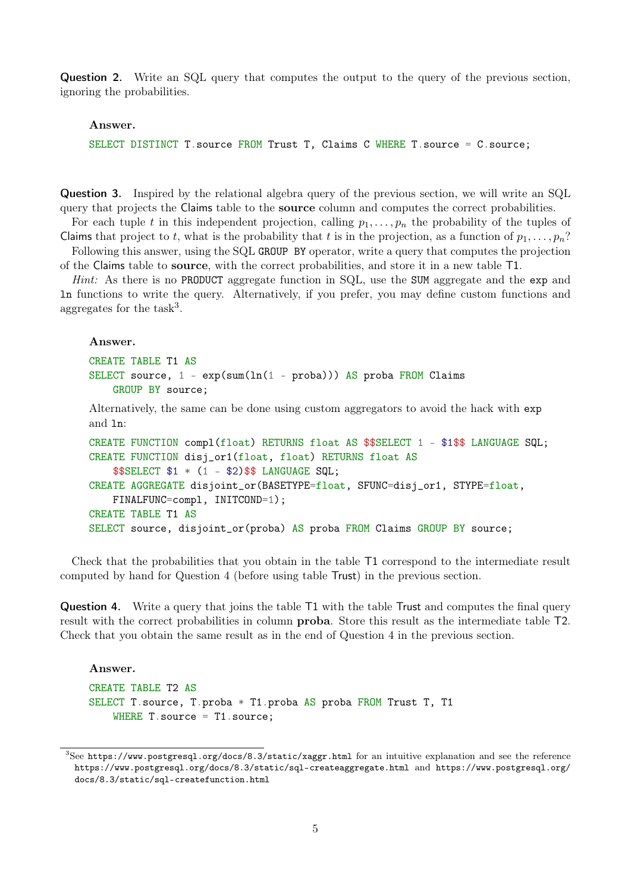Question 2. Write an SQL query that computes the output to the query of the previous section, ignoring the probabilities.

#### Answer.

SELECT DISTINCT T.source FROM Trust T, Claims C WHERE T.source = C.source;

Question 3. Inspired by the relational algebra query of the previous section, we will write an SQL query that projects the Claims table to the source column and computes the correct probabilities.

For each tuple t in this independent projection, calling  $p_1, \ldots, p_n$  the probability of the tuples of Claims that project to t, what is the probability that t is in the projection, as a function of  $p_1, \ldots, p_n$ ? Following this answer, using the SQL GROUP BY operator, write a query that computes the projection

of the Claims table to source, with the correct probabilities, and store it in a new table T1.

Hint: As there is no PRODUCT aggregate function in SQL, use the SUM aggregate and the exp and ln functions to write the query. Alternatively, if you prefer, you may define custom functions and aggregates for the  $task^3$  $task^3$ .

#### Answer.

```
CREATE TABLE T1 AS
SELECT source, 1 - \exp(\text{sum}(11 - \text{prob}a))) AS proba FROM Claims
    GROUP BY source;
```
Alternatively, the same can be done using custom aggregators to avoid the hack with exp and ln:

```
CREATE FUNCTION compl(float) RETURNS float AS $$SELECT 1 - $1$$ LANGUAGE SQL;
CREATE FUNCTION disj_or1(float, float) RETURNS float AS
    $$SELECT $1 * (1 - $2)$$ LANGUAGE SQL;
CREATE AGGREGATE disjoint_or(BASETYPE=float, SFUNC=disj_or1, STYPE=float,
    FINALFUNC=compl, INITCOND=1);
CREATE TABLE T1 AS
SELECT source, disjoint_or(proba) AS proba FROM Claims GROUP BY source;
```
Check that the probabilities that you obtain in the table T1 correspond to the intermediate result computed by hand for Question 4 (before using table Trust) in the previous section.

Question 4. Write a query that joins the table T1 with the table Trust and computes the final query result with the correct probabilities in column proba. Store this result as the intermediate table T2. Check that you obtain the same result as in the end of Question 4 in the previous section.

#### Answer.

```
CREATE TABLE T2 AS
SELECT T.source, T.proba * T1.proba AS proba FROM Trust T, T1
    WHERE T. source = T1. source;
```
<span id="page-4-0"></span> ${}^{3}$ See <https://www.postgresql.org/docs/8.3/static/xaggr.html> for an intuitive explanation and see the reference <https://www.postgresql.org/docs/8.3/static/sql-createaggregate.html> and [https://www.postgresql.org/](https://www.postgresql.org/docs/8.3/static/sql-createfunction.html) [docs/8.3/static/sql-createfunction.html](https://www.postgresql.org/docs/8.3/static/sql-createfunction.html)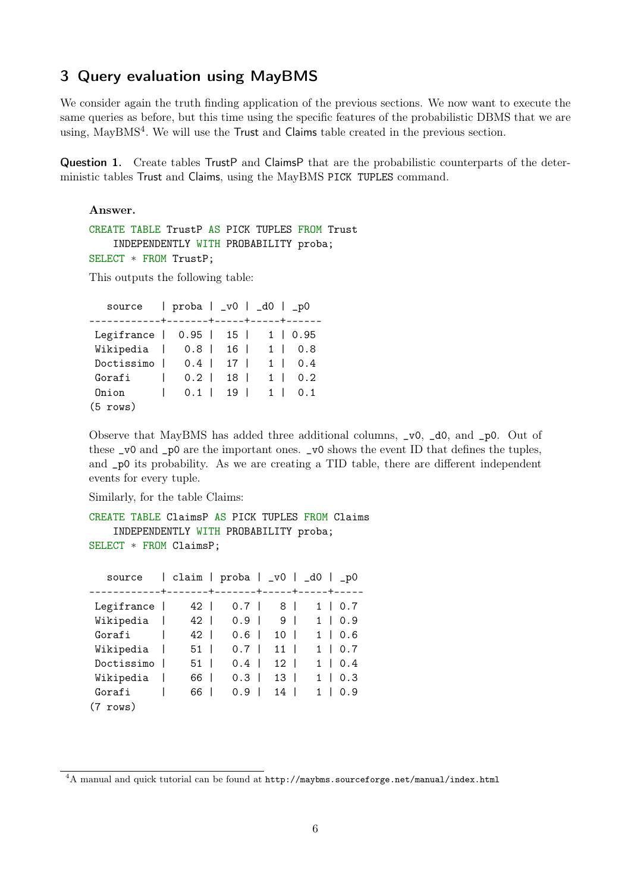## 3 Query evaluation using MayBMS

We consider again the truth finding application of the previous sections. We now want to execute the same queries as before, but this time using the specific features of the probabilistic DBMS that we are using, MayBMS<sup>[4](#page-5-0)</sup>. We will use the Trust and Claims table created in the previous section.

Question 1. Create tables TrustP and ClaimsP that are the probabilistic counterparts of the deterministic tables Trust and Claims, using the MayBMS PICK TUPLES command.

Answer.

CREATE TABLE TrustP AS PICK TUPLES FROM Trust INDEPENDENTLY WITH PROBABILITY proba; SELECT \* FROM TrustP;

This outputs the following table:

source | proba | \_v0 | \_d0 | \_p0 ------------+-------+-----+-----+------ Legifrance | 0.95 | 15 | 1 | 0.95 Wikipedia | 0.8 | 16 | 1 | 0.8 Doctissimo | 0.4 | 17 | 1 | 0.4 Gorafi | 0.2 | 18 | 1 | 0.2 Onion | 0.1 | 19 | 1 | 0.1 (5 rows)

Observe that MayBMS has added three additional columns, \_v0, \_d0, and \_p0. Out of these \_v0 and \_p0 are the important ones. \_v0 shows the event ID that defines the tuples, and \_p0 its probability. As we are creating a TID table, there are different independent events for every tuple.

Similarly, for the table Claims:

```
CREATE TABLE ClaimsP AS PICK TUPLES FROM Claims
    INDEPENDENTLY WITH PROBABILITY proba;
SELECT * FROM ClaimsP;
```

| source             |    |                          |     |    |                          | claim   proba   _v0   _d0   _p0 |
|--------------------|----|--------------------------|-----|----|--------------------------|---------------------------------|
|                    |    |                          |     |    |                          | ------+-------+-----+-----+-    |
| Legifrance         | 42 |                          | 0.7 | 8  |                          | 1<br>0.7<br>L                   |
| Wikipedia          | 42 | $\overline{\phantom{a}}$ | 0.9 | 9  | -1                       | 0.9<br>$\mathbf{1}$<br>L        |
| Gorafi             | 42 | $\overline{\phantom{a}}$ | 0.6 | 10 | $\overline{\phantom{a}}$ | 0.6<br>1.<br>$\perp$            |
| Wikipedia          | 51 |                          | 0.7 | 11 |                          | 0.7<br>1.<br>L                  |
| Doctissimo         | 51 |                          | 0.4 | 12 |                          | 0.4<br>1.<br>L                  |
| Wikipedia          | 66 |                          | 0.3 | 13 |                          | 0.3<br>1.                       |
| Gorafi             | 66 |                          | 0.9 | 14 |                          | 1.<br>0.9                       |
| $(7 \text{ rows})$ |    |                          |     |    |                          |                                 |

<span id="page-5-0"></span><sup>&</sup>lt;sup>4</sup>A manual and quick tutorial can be found at <http://maybms.sourceforge.net/manual/index.html>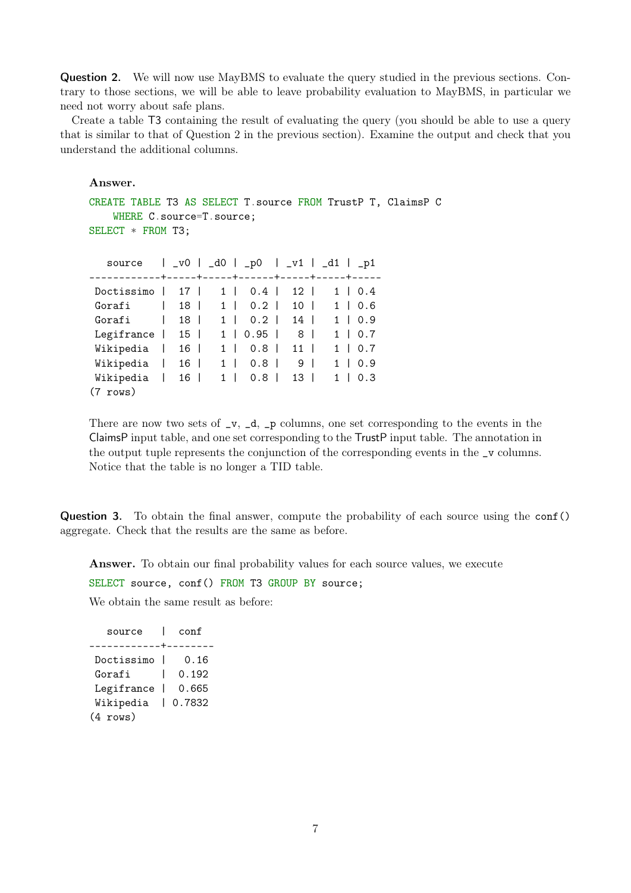Question 2. We will now use MayBMS to evaluate the query studied in the previous sections. Contrary to those sections, we will be able to leave probability evaluation to MayBMS, in particular we need not worry about safe plans.

Create a table T3 containing the result of evaluating the query (you should be able to use a query that is similar to that of Question 2 in the previous section). Examine the output and check that you understand the additional columns.

Answer.

```
CREATE TABLE T3 AS SELECT T.source FROM TrustP T, ClaimsP C
   WHERE C.source=T.source;
SELECT * FROM T3;
  source | _v0 | _d0 | _p0 | _v1 | _d1 | _p1
------------+-----+-----+------+-----+-----+-----
```

| Doctissimo   17               |              |                 |           |          | 1   0.4   12    |  | $1 \mid 0.4$ |
|-------------------------------|--------------|-----------------|-----------|----------|-----------------|--|--------------|
| Gorafi                        | $\mathbf{L}$ | 18 I            |           | 1   0.2  | $10-1$          |  | 1   0.6      |
| Gorafi                        | L            | 18 l            | $1 \vert$ | $0.2$    | 14              |  | 1   0.9      |
| Legifrance $\vert$ 15 $\vert$ |              |                 |           | 1   0.95 | 8 I             |  | $1 \mid 0.7$ |
| Wikipedia                     |              | 16 <sup>1</sup> |           | 1   0.8  | 11 <sup>1</sup> |  | $1 \mid 0.7$ |
| Wikipedia                     | $\mathsf{I}$ | $16-1$          | $1 \mid$  | $0.8$    | 9 <sup>1</sup>  |  | $1 \mid 0.9$ |
| Wikipedia                     |              | 16              |           |          | 1   0.8   13    |  | $1 \mid 0.3$ |
| $(7 \text{rows})$             |              |                 |           |          |                 |  |              |

There are now two sets of  $\mathsf{v}$ ,  $\mathsf{d}$ ,  $\mathsf{p}$  columns, one set corresponding to the events in the ClaimsP input table, and one set corresponding to the TrustP input table. The annotation in the output tuple represents the conjunction of the corresponding events in the \_v columns. Notice that the table is no longer a TID table.

Question 3. To obtain the final answer, compute the probability of each source using the conf() aggregate. Check that the results are the same as before.

Answer. To obtain our final probability values for each source values, we execute SELECT source, conf() FROM T3 GROUP BY source; We obtain the same result as before:

| source            |                | conf   |
|-------------------|----------------|--------|
| ------            |                |        |
| Doctissimo        |                | 0.16   |
| Gorafi            |                | 0.192  |
| Legifrance        | $\blacksquare$ | 0.665  |
| Wikipedia         |                | 0.7832 |
| $(4 \text{rows})$ |                |        |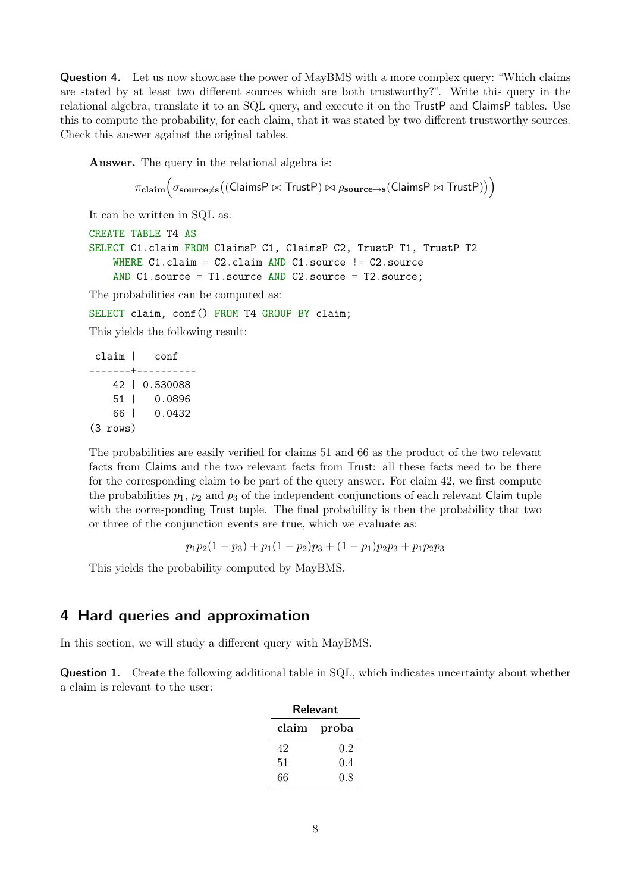Question 4. Let us now showcase the power of MayBMS with a more complex query: "Which claims are stated by at least two different sources which are both trustworthy?". Write this query in the relational algebra, translate it to an SQL query, and execute it on the TrustP and ClaimsP tables. Use this to compute the probability, for each claim, that it was stated by two different trustworthy sources. Check this answer against the original tables.

Answer. The query in the relational algebra is:

```
\pi_{\mathbf{claim}}\big(\sigma_{\mathbf{source}\neq\mathbf{s}}\big((\mathsf{ClaimsP}\bowtie\mathsf{TrustP})\bowtie\rho_{\mathbf{source}\rightarrow\mathbf{s}}(\mathsf{ClaimsP}\bowtie\mathsf{TrustP})\big)\big)
```
It can be written in SQL as:

```
CREATE TABLE T4 AS
SELECT C1.claim FROM ClaimsP C1, ClaimsP C2, TrustP T1, TrustP T2
    WHERE C1.claim = C2.claim AND C1.source != C2.source
    AND C1.source = T1.source AND C2.source = T2.source;
```
The probabilities can be computed as:

SELECT claim, conf() FROM T4 GROUP BY claim;

This yields the following result:

claim | conf -------+---------- 42 | 0.530088 51 | 0.0896 66 | 0.0432 (3 rows)

The probabilities are easily verified for claims 51 and 66 as the product of the two relevant facts from Claims and the two relevant facts from Trust: all these facts need to be there for the corresponding claim to be part of the query answer. For claim 42, we first compute the probabilities  $p_1$ ,  $p_2$  and  $p_3$  of the independent conjunctions of each relevant Claim tuple with the corresponding Trust tuple. The final probability is then the probability that two or three of the conjunction events are true, which we evaluate as:

$$
p_1p_2(1-p_3) + p_1(1-p_2)p_3 + (1-p_1)p_2p_3 + p_1p_2p_3
$$

This yields the probability computed by MayBMS.

### 4 Hard queries and approximation

In this section, we will study a different query with MayBMS.

Question 1. Create the following additional table in SQL, which indicates uncertainty about whether a claim is relevant to the user:

| Relevant       |         |  |  |  |  |
|----------------|---------|--|--|--|--|
| $_{\rm claim}$ | proba   |  |  |  |  |
| 42             | $0.2\,$ |  |  |  |  |
| 51             | 0.4     |  |  |  |  |
| 66             | 0.8     |  |  |  |  |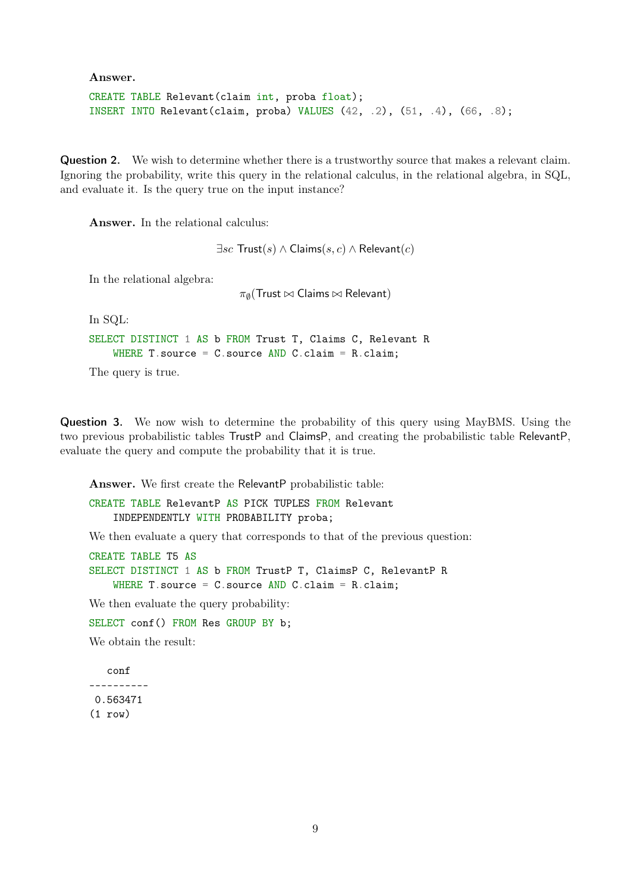Answer.

```
CREATE TABLE Relevant(claim int, proba float);
INSERT INTO Relevant(claim, proba) VALUES (42, .2), (51, .4), (66, .8);
```
Question 2. We wish to determine whether there is a trustworthy source that makes a relevant claim. Ignoring the probability, write this query in the relational calculus, in the relational algebra, in SQL, and evaluate it. Is the query true on the input instance?

Answer. In the relational calculus:

 $\exists sc$  Trust(s)  $\land$  Claims(s, c)  $\land$  Relevant(c)

In the relational algebra:

 $\pi_{\emptyset}(\mathsf{Trust} \bowtie \mathsf{Claims} \bowtie \mathsf{Relevant})$ 

In SQL:

```
SELECT DISTINCT 1 AS b FROM Trust T, Claims C, Relevant R
    WHERE T. source = C. source AND C. claim = R. claim;
```
The query is true.

Question 3. We now wish to determine the probability of this query using MayBMS. Using the two previous probabilistic tables TrustP and ClaimsP, and creating the probabilistic table RelevantP, evaluate the query and compute the probability that it is true.

Answer. We first create the RelevantP probabilistic table:

CREATE TABLE RelevantP AS PICK TUPLES FROM Relevant INDEPENDENTLY WITH PROBABILITY proba;

We then evaluate a query that corresponds to that of the previous question:

CREATE TABLE T5 AS SELECT DISTINCT 1 AS b FROM TrustP T, ClaimsP C, RelevantP R WHERE T. source =  $C$ . source AND  $C$ . claim = R. claim;

We then evaluate the query probability:

SELECT conf() FROM Res GROUP BY b;

We obtain the result:

conf ---------- 0.563471  $(1 row)$